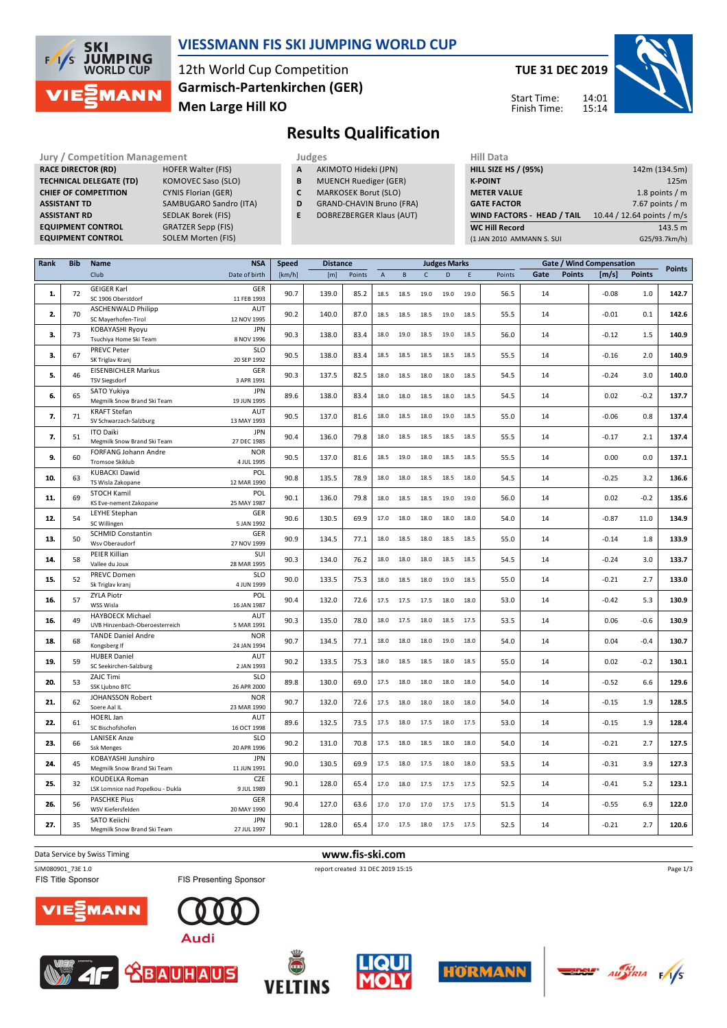

### **VIESSMANN FIS SKI JUMPING WORLD CUP**

12th World Cup Competition **Men Large Hill KO Garmisch-Partenkirchen (GER)** **TUE 31 DEC 2019**

Start Time: Finish Time: 14:01 15:14



**Results Qualification**

**Jury / Competition Management development development of the Judges of American Hill Data RACE DIRECTOR (RD) HOFER Walter (FIS) TECHNICAL DELEGATE (TD)** KOMOVEC Saso (SLO)<br>**CHIEF OF COMPETITION** CYNIS Florian (GER) **CHIEF OF COMPETITION ASSISTANT TD** SAMBUGARO Sandro (ITA) **ASSISTANT RD** SEDLAK Borek (FIS) **EQUIPMENT CONTROL** GRATZER Sepp (FIS) **EQUIPMENT CONTROL** SOLEM Morten (FIS)

- **A** AKIMOTO Hideki (JPN)
- **B** MUENCH Ruediger (GER)<br>**C** MARKOSEK Borut (SLO)
- **MARKOSEK Borut (SLO)**
- **D** GRAND-CHAVIN Bruno (FRA)
- **E** DOBREZBERGER Klaus (AUT)

| 142m (134.5m)              |
|----------------------------|
| 125m                       |
| 1.8 points $/m$            |
| 7.67 points $/m$           |
| 10.44 / 12.64 points / m/s |
| 143.5 m                    |
| G25/93.7km/h)              |
|                            |

| Rank | <b>Bib</b> | <b>Name</b>                                             | <b>NSA</b>                | <b>Speed</b> | <b>Distance</b> |        |             |              |              | <b>Judges Marks</b> |      |        |      |               | <b>Gate / Wind Compensation</b> |               | <b>Points</b> |
|------|------------|---------------------------------------------------------|---------------------------|--------------|-----------------|--------|-------------|--------------|--------------|---------------------|------|--------|------|---------------|---------------------------------|---------------|---------------|
|      |            | Club                                                    | Date of birth             | [km/h]       | [m]             | Points | $\mathsf A$ | $\, {\bf B}$ | $\mathsf{C}$ | D                   | E    | Points | Gate | <b>Points</b> | [m/s]                           | <b>Points</b> |               |
| 1.   | 72         | <b>GEIGER Karl</b><br>SC 1906 Oberstdorf                | GER<br>11 FEB 1993        | 90.7         | 139.0           | 85.2   | 18.5        | 18.5         | 19.0         | 19.0                | 19.0 | 56.5   | 14   |               | $-0.08$                         | 1.0           | 142.7         |
| 2.   | 70         | <b>ASCHENWALD Philipp</b><br>SC Mayerhofen-Tirol        | AUT<br>12 NOV 1995        | 90.2         | 140.0           | 87.0   | 18.5        | 18.5         | 18.5         | 19.0                | 18.5 | 55.5   | 14   |               | $-0.01$                         | 0.1           | 142.6         |
|      |            | KOBAYASHI Ryoyu                                         | <b>JPN</b>                |              |                 |        |             |              |              |                     |      |        |      |               |                                 |               |               |
| 3.   | 73         | Tsuchiya Home Ski Team                                  | 8 NOV 1996                | 90.3         | 138.0           | 83.4   | 18.0        | 19.0         | 18.5         | 19.0                | 18.5 | 56.0   | 14   |               | $-0.12$                         | 1.5           | 140.9         |
|      |            | <b>PREVC Peter</b>                                      | <b>SLO</b>                |              |                 |        |             |              |              |                     |      |        |      |               |                                 |               |               |
| 3.   | 67         | SK Triglav Kranj                                        | 20 SEP 1992               | 90.5         | 138.0           | 83.4   | 18.5        | 18.5         | 18.5         | 18.5                | 18.5 | 55.5   | 14   |               | $-0.16$                         | 2.0           | 140.9         |
| 5.   | 46         | <b>EISENBICHLER Markus</b><br><b>TSV Siegsdorf</b>      | GER<br>3 APR 1991         | 90.3         | 137.5           | 82.5   | 18.0        | 18.5         | 18.0         | 18.0                | 18.5 | 54.5   | 14   |               | $-0.24$                         | 3.0           | 140.0         |
| 6.   | 65         | SATO Yukiya                                             | <b>JPN</b>                | 89.6         | 138.0           | 83.4   | 18.0        | 18.0         | 18.5         | 18.0                | 18.5 | 54.5   | 14   |               | 0.02                            | $-0.2$        | 137.7         |
|      |            | Megmilk Snow Brand Ski Team                             | 19 JUN 1995               |              |                 |        |             |              |              |                     |      |        |      |               |                                 |               |               |
| 7.   | 71         | <b>KRAFT Stefan</b><br>SV Schwarzach-Salzburg           | AUT<br>13 MAY 1993        | 90.5         | 137.0           | 81.6   | 18.0        | 18.5         | 18.0         | 19.0                | 18.5 | 55.0   | 14   |               | $-0.06$                         | 0.8           | 137.4         |
| 7.   | 51         | <b>ITO Daiki</b><br>Megmilk Snow Brand Ski Team         | <b>JPN</b><br>27 DEC 1985 | 90.4         | 136.0           | 79.8   | 18.0        | 18.5         | 18.5         | 18.5                | 18.5 | 55.5   | 14   |               | $-0.17$                         | 2.1           | 137.4         |
| 9.   | 60         | FORFANG Johann Andre                                    | <b>NOR</b>                | 90.5         | 137.0           | 81.6   | 18.5        | 19.0         | 18.0         | 18.5                | 18.5 | 55.5   | 14   |               | 0.00                            | 0.0           | 137.1         |
|      |            | Tromsoe Skiklub                                         | 4 JUL 1995                |              |                 |        |             |              |              |                     |      |        |      |               |                                 |               |               |
| 10.  | 63         | <b>KUBACKI Dawid</b><br>TS Wisla Zakopane               | POL<br>12 MAR 1990        | 90.8         | 135.5           | 78.9   | 18.0        | 18.0         | 18.5         | 18.5                | 18.0 | 54.5   | 14   |               | $-0.25$                         | 3.2           | 136.6         |
| 11.  | 69         | STOCH Kamil<br>KS Eve-nement Zakopane                   | POL<br>25 MAY 1987        | 90.1         | 136.0           | 79.8   | 18.0        | 18.5         | 18.5         | 19.0                | 19.0 | 56.0   | 14   |               | 0.02                            | $-0.2$        | 135.6         |
| 12.  | 54         | LEYHE Stephan<br>SC Willingen                           | GER<br>5 JAN 1992         | 90.6         | 130.5           | 69.9   | 17.0        | 18.0         | 18.0         | 18.0                | 18.0 | 54.0   | 14   |               | $-0.87$                         | 11.0          | 134.9         |
| 13.  | 50         | <b>SCHMID Constantin</b>                                | GER                       | 90.9         | 134.5           | 77.1   | 18.0        | 18.5         | 18.0         | 18.5                | 18.5 | 55.0   | 14   |               | $-0.14$                         | 1.8           | 133.9         |
|      |            | Wsv Oberaudorf<br>PEIER Killian                         | 27 NOV 1999<br>SUI        |              |                 |        |             |              |              |                     |      |        |      |               |                                 |               |               |
| 14.  | 58         | Vallee du Joux                                          | 28 MAR 1995               | 90.3         | 134.0           | 76.2   | 18.0        | 18.0         | 18.0         | 18.5                | 18.5 | 54.5   | 14   |               | $-0.24$                         | 3.0           | 133.7         |
|      |            | PREVC Domen                                             | <b>SLO</b>                |              |                 |        |             |              |              |                     |      |        |      |               |                                 |               |               |
| 15.  | 52         | Sk Triglav kranj                                        | 4 JUN 1999                | 90.0         | 133.5           | 75.3   | 18.0        | 18.5         | 18.0         | 19.0                | 18.5 | 55.0   | 14   |               | $-0.21$                         | 2.7           | 133.0         |
|      |            | <b>ZYLA Piotr</b>                                       | POL                       |              |                 |        |             |              |              |                     |      |        |      |               |                                 |               |               |
| 16.  | 57         | WSS Wisla                                               | 16 JAN 1987               | 90.4         | 132.0           | 72.6   | 17.5        | 17.5         | 17.5         | 18.0                | 18.0 | 53.0   | 14   |               | $-0.42$                         | 5.3           | 130.9         |
| 16.  | 49         | HAYBOECK Michael<br>UVB Hinzenbach-Oberoesterreich      | AUT<br>5 MAR 1991         | 90.3         | 135.0           | 78.0   | 18.0        | 17.5         | 18.0         | 18.5                | 17.5 | 53.5   | 14   |               | 0.06                            | $-0.6$        | 130.9         |
|      |            | <b>TANDE Daniel Andre</b>                               | <b>NOR</b>                |              |                 |        |             |              |              |                     |      |        |      |               |                                 |               |               |
| 18.  | 68         | Kongsberg If                                            | 24 JAN 1994               | 90.7         | 134.5           | 77.1   | 18.0        | 18.0         | 18.0         | 19.0                | 18.0 | 54.0   | 14   |               | 0.04                            | $-0.4$        | 130.7         |
| 19.  | 59         | <b>HUBER Daniel</b><br>SC Seekirchen-Salzburg           | AUT<br>2 JAN 1993         | 90.2         | 133.5           | 75.3   | 18.0        | 18.5         | 18.5         | 18.0                | 18.5 | 55.0   | 14   |               | 0.02                            | $-0.2$        | 130.1         |
| 20.  | 53         | <b>ZAJC Timi</b><br>SSK Ljubno BTC                      | <b>SLO</b><br>26 APR 2000 | 89.8         | 130.0           | 69.0   | 17.5        | 18.0         | 18.0         | 18.0                | 18.0 | 54.0   | 14   |               | $-0.52$                         | 6.6           | 129.6         |
|      |            | JOHANSSON Robert                                        | <b>NOR</b>                |              |                 |        |             |              |              |                     |      |        |      |               |                                 |               |               |
| 21.  | 62         | Soere Aal IL                                            | 23 MAR 1990               | 90.7         | 132.0           | 72.6   | 17.5        | 18.0         | 18.0         | 18.0                | 18.0 | 54.0   | 14   |               | $-0.15$                         | 1.9           | 128.5         |
|      |            | <b>HOERL Jan</b>                                        | AUT                       |              |                 |        |             |              |              |                     |      |        |      |               |                                 |               |               |
| 22.  | 61         | SC Bischofshofen                                        | 16 OCT 1998               | 89.6         | 132.5           | 73.5   | 17.5        | 18.0         | 17.5         | 18.0                | 17.5 | 53.0   | 14   |               | $-0.15$                         | 1.9           | 128.4         |
| 23.  | 66         | <b>LANISEK Anze</b>                                     | <b>SLO</b>                | 90.2         | 131.0           | 70.8   | 17.5        | 18.0         | 18.5         | 18.0                | 18.0 | 54.0   | 14   |               | $-0.21$                         | 2.7           | 127.5         |
|      |            | <b>Ssk Menges</b>                                       | 20 APR 1996               |              |                 |        |             |              |              |                     |      |        |      |               |                                 |               |               |
| 24.  | 45         | KOBAYASHI Junshiro                                      | <b>JPN</b>                | 90.0         | 130.5           | 69.9   | 17.5        | 18.0         | 17.5         | 18.0                | 18.0 | 53.5   | 14   |               | $-0.31$                         | 3.9           | 127.3         |
|      |            | Megmilk Snow Brand Ski Team                             | 11 JUN 1991               |              |                 |        |             |              |              |                     |      |        |      |               |                                 |               |               |
| 25.  | 32         | KOUDELKA Roman                                          | CZE                       | 90.1         | 128.0           | 65.4   | 17.0        | 18.0         | 17.5         | 17.5                | 17.5 | 52.5   | 14   |               | $-0.41$                         | 5.2           | 123.1         |
|      |            | LSK Lomnice nad Popelkou - Dukla<br><b>PASCHKE Pius</b> | 9 JUL 1989<br>GER         |              |                 |        |             |              |              |                     |      |        |      |               |                                 |               |               |
| 26.  | 56         | WSV Kiefersfelden                                       | 20 MAY 1990               | 90.4         | 127.0           | 63.6   | 17.0        | 17.0         | 17.0         | 17.5                | 17.5 | 51.5   | 14   |               | $-0.55$                         | 6.9           | 122.0         |
|      |            | SATO Keiichi                                            | <b>JPN</b>                |              |                 |        |             |              |              |                     |      |        |      |               |                                 |               |               |
| 27.  | 35         | Megmilk Snow Brand Ski Team                             | 27 JUL 1997               | 90.1         | 128.0           | 65.4   | 17.0        | 17.5         | 18.0         | 17.5                | 17.5 | 52.5   | 14   |               | $-0.21$                         | 2.7           | 120.6         |
|      |            |                                                         |                           |              |                 |        |             |              |              |                     |      |        |      |               |                                 |               |               |

Data Service by Swiss Timing **www.fis-ski.com** 

FIS Title Sponsor



SJM080901\_73E 1.0 report created 31 DEC 2019 15:15















Page 1/3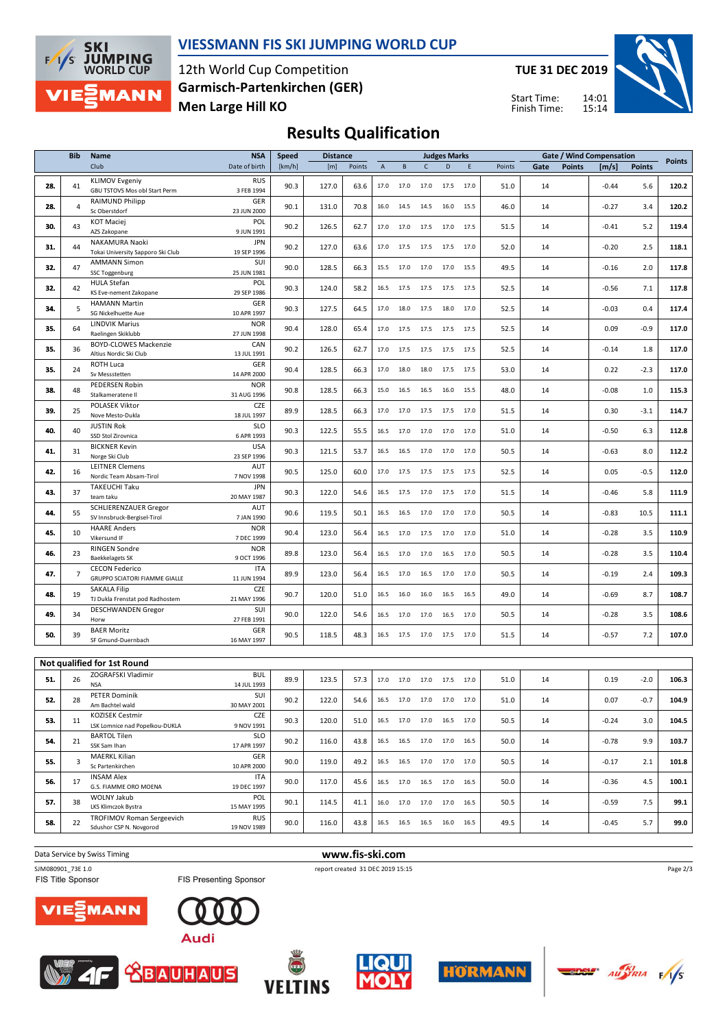

#### **VIESSMANN FIS SKI JUMPING WORLD CUP**

12th World Cup Competition **Men Large Hill KO Garmisch-Partenkirchen (GER)** **TUE 31 DEC 2019**





## **Results Qualification**

|     | <b>Bib</b>     | Name                                                   | <b>NSA</b>                | <b>Speed</b> | <b>Distance</b> |        |                |                |              | <b>Judges Marks</b>                                    |      |        |      |               | <b>Gate / Wind Compensation</b> |               |               |
|-----|----------------|--------------------------------------------------------|---------------------------|--------------|-----------------|--------|----------------|----------------|--------------|--------------------------------------------------------|------|--------|------|---------------|---------------------------------|---------------|---------------|
|     |                | Club                                                   | Date of birth             | [km/h]       | [m]             | Points | $\overline{A}$ | $\, {\bf B}$   | $\mathsf{C}$ | D                                                      | E    | Points | Gate | <b>Points</b> | [m/s]                           | <b>Points</b> | <b>Points</b> |
| 28. | 41             | <b>KLIMOV Evgeniy</b><br>GBU TSTOVS Mos obl Start Perm | <b>RUS</b><br>3 FEB 1994  | 90.3         | 127.0           | 63.6   | 17.0           | 17.0           | 17.0         | 17.5                                                   | 17.0 | 51.0   | 14   |               | $-0.44$                         | 5.6           | 120.2         |
| 28. | $\overline{4}$ | RAIMUND Philipp<br>Sc Oberstdorf                       | GER<br>23 JUN 2000        | 90.1         | 131.0           | 70.8   | 16.0           | 14.5           | 14.5         | 16.0                                                   | 15.5 | 46.0   | 14   |               | $-0.27$                         | 3.4           | 120.2         |
| 30. | 43             | <b>KOT Maciej</b><br>AZS Zakopane                      | POL<br>9 JUN 1991         | 90.2         | 126.5           | 62.7   | 17.0           | 17.0           | 17.5         | 17.0                                                   | 17.5 | 51.5   | 14   |               | $-0.41$                         | 5.2           | 119.4         |
| 31. | 44             | NAKAMURA Naoki<br>Tokai University Sapporo Ski Club    | <b>JPN</b><br>19 SEP 1996 | 90.2         | 127.0           | 63.6   | 17.0           | 17.5           | 17.5         | 17.5                                                   | 17.0 | 52.0   | 14   |               | $-0.20$                         | 2.5           | 118.1         |
| 32. | 47             | <b>AMMANN Simon</b><br>SSC Toggenburg                  | SUI<br>25 JUN 1981        | 90.0         | 128.5           | 66.3   | 15.5           | 17.0           | 17.0         | 17.0                                                   | 15.5 | 49.5   | 14   |               | $-0.16$                         | 2.0           | 117.8         |
| 32. | 42             | HULA Stefan<br>KS Eve-nement Zakopane                  | POL<br>29 SEP 1986        | 90.3         | 124.0           | 58.2   | 16.5           | 17.5           | 17.5         | 17.5                                                   | 17.5 | 52.5   | 14   |               | $-0.56$                         | 7.1           | 117.8         |
| 34. | 5              | <b>HAMANN Martin</b><br>SG Nickelhuette Aue            | GER<br>10 APR 1997        | 90.3         | 127.5           | 64.5   | 17.0           | 18.0           | 17.5         | 18.0                                                   | 17.0 | 52.5   | 14   |               | $-0.03$                         | 0.4           | 117.4         |
| 35. | 64             | <b>LINDVIK Marius</b><br>Raelingen Skiklubb            | <b>NOR</b><br>27 JUN 1998 | 90.4         | 128.0           | 65.4   | 17.0           | 17.5           | 17.5         | 17.5                                                   | 17.5 | 52.5   | 14   |               | 0.09                            | $-0.9$        | 117.0         |
| 35. | 36             | <b>BOYD-CLOWES Mackenzie</b><br>Altius Nordic Ski Club | CAN<br>13 JUL 1991        | 90.2         | 126.5           | 62.7   | 17.0           | 17.5           | 17.5         | 17.5                                                   | 17.5 | 52.5   | 14   |               | $-0.14$                         | 1.8           | 117.0         |
| 35. | 24             | ROTH Luca<br>Sv Messstetten                            | GER<br>14 APR 2000        | 90.4         | 128.5           | 66.3   | 17.0           | 18.0           | 18.0         | 17.5                                                   | 17.5 | 53.0   | 14   |               | 0.22                            | $-2.3$        | 117.0         |
| 38. | 48             | PEDERSEN Robin<br>Stalkameratene II                    | <b>NOR</b><br>31 AUG 1996 | 90.8         | 128.5           | 66.3   | 15.0           | 16.5           | 16.5         | 16.0                                                   | 15.5 | 48.0   | 14   |               | $-0.08$                         | 1.0           | 115.3         |
| 39. | 25             | POLASEK Viktor<br>Nove Mesto-Dukla                     | CZE<br>18 JUL 1997        | 89.9         | 128.5           | 66.3   | 17.0           | 17.0           | 17.5         | 17.5                                                   | 17.0 | 51.5   | 14   |               | 0.30                            | $-3.1$        | 114.7         |
| 40. | 40             | <b>JUSTIN Rok</b><br>SSD Stol Zirovnica                | <b>SLO</b><br>6 APR 1993  | 90.3         | 122.5           | 55.5   | 16.5           | 17.0           | 17.0         | 17.0                                                   | 17.0 | 51.0   | 14   |               | $-0.50$                         | 6.3           | 112.8         |
| 41. | 31             | <b>BICKNER Kevin</b><br>Norge Ski Club                 | <b>USA</b><br>23 SEP 1996 | 90.3         | 121.5           | 53.7   | 16.5           | 16.5           | 17.0         | 17.0                                                   | 17.0 | 50.5   | 14   |               | $-0.63$                         | 8.0           | 112.2         |
| 42. | 16             | <b>LEITNER Clemens</b><br>Nordic Team Absam-Tirol      | AUT<br>7 NOV 1998         | 90.5         | 125.0           | 60.0   | 17.0           | 17.5           | 17.5         | 17.5                                                   | 17.5 | 52.5   | 14   |               | 0.05                            | $-0.5$        | 112.0         |
| 43. | 37             | TAKEUCHI Taku<br>team taku                             | <b>JPN</b><br>20 MAY 1987 | 90.3         | 122.0           | 54.6   | 16.5           | 17.5           | 17.0         | 17.5                                                   | 17.0 | 51.5   | 14   |               | $-0.46$                         | 5.8           | 111.9         |
| 44. | 55             | SCHLIERENZAUER Gregor<br>SV Innsbruck-Bergisel-Tirol   | AUT<br>7 JAN 1990         | 90.6         | 119.5           | 50.1   | 16.5           | 16.5           | 17.0         | 17.0                                                   | 17.0 | 50.5   | 14   |               | $-0.83$                         | 10.5          | 111.1         |
| 45. | 10             | <b>HAARE Anders</b><br>Vikersund IF                    | <b>NOR</b><br>7 DEC 1999  | 90.4         | 123.0           | 56.4   | 16.5           | 17.0           | 17.5         | 17.0                                                   | 17.0 | 51.0   | 14   |               | $-0.28$                         | 3.5           | 110.9         |
| 46. | 23             | <b>RINGEN Sondre</b><br><b>Baekkelagets SK</b>         | <b>NOR</b><br>9 OCT 1996  | 89.8         | 123.0           | 56.4   | 16.5           | 17.0           | 17.0         | 16.5                                                   | 17.0 | 50.5   | 14   |               | $-0.28$                         | 3.5           | 110.4         |
| 47. | $\overline{7}$ | <b>CECON Federico</b><br>GRUPPO SCIATORI FIAMME GIALLE | <b>ITA</b><br>11 JUN 1994 | 89.9         | 123.0           | 56.4   | 16.5           | 17.0           | 16.5         | 17.0                                                   | 17.0 | 50.5   | 14   |               | $-0.19$                         | 2.4           | 109.3         |
| 48. | 19             | <b>SAKALA Filip</b><br>TJ Dukla Frenstat pod Radhostem | CZE<br>21 MAY 1996        | 90.7         | 120.0           | 51.0   | 16.5           | 16.0           | 16.0         | 16.5                                                   | 16.5 | 49.0   | 14   |               | $-0.69$                         | 8.7           | 108.7         |
| 49. | 34             | <b>DESCHWANDEN Gregor</b><br>Horw                      | SUI<br>27 FEB 1991        | 90.0         | 122.0           | 54.6   | 16.5           | 17.0           | 17.0         | 16.5                                                   | 17.0 | 50.5   | 14   |               | $-0.28$                         | 3.5           | 108.6         |
| 50. | 39             | <b>BAER Moritz</b><br>SF Gmund-Duernbach               | GER<br>16 MAY 1997        | 90.5         | 118.5           | 48.3   |                | 16.5 17.5 17.0 |              | 17.5                                                   | 17.0 | 51.5   | 14   |               | $-0.57$                         | 7.2           | 107.0         |
|     |                | Not qualified for 1st Round                            |                           |              |                 |        |                |                |              |                                                        |      |        |      |               |                                 |               |               |
| 51. | 26             | ZOGRAFSKI Vladimir<br><b>NSA</b>                       | <b>BUL</b><br>14 JUL 1993 | 89.9         | 123.5           | 57.3   | 17.0           | 17.0 17.0      |              | 17.5                                                   | 17.0 | 51.0   | 14   |               | 0.19                            | $-2.0$        | 106.3         |
| 52. | 28             | PETER Dominik<br>Am Bachtel wald                       | SUI<br>30 MAY 2001        | 90.2         | 122.0           | 54.6   |                |                |              | 16.5 17.0 17.0 17.0 17.0                               |      | 51.0   | 14   |               | 0.07                            | $-0.7$        | 104.9         |
| 53. | 11             | KOZISEK Cestmir<br>LSK Lomnice nad Popelkou-DUKLA      | CZE<br>9 NOV 1991         | 90.3         | 120.0           | 51.0   |                |                |              | 16.5 17.0 17.0 16.5 17.0                               |      | 50.5   | 14   |               | $-0.24$                         | 3.0           | 104.5         |
| 54. | 21             | <b>BARTOL Tilen</b><br>SSK Sam Ihan                    | <b>SLO</b><br>17 APR 1997 | 90.2         | 116.0           | 43.8   |                |                |              | 16.5 16.5 17.0 17.0 16.5                               |      | 50.0   | 14   |               | $-0.78$                         | 9.9           | 103.7         |
| 55. | 3              | <b>MAERKL Kilian</b><br>Sc Partenkirchen               | GER<br>10 APR 2000        | 90.0         | 119.0           | 49.2   | 16.5           | 16.5 17.0      |              | 17.0                                                   | 17.0 | 50.5   | 14   |               | $-0.17$                         | 2.1           | 101.8         |
| 56. | 17             | <b>INSAM Alex</b><br>G.S. FIAMME ORO MOENA             | <b>ITA</b><br>19 DEC 1997 | 90.0         | 117.0           | 45.6   |                |                |              | $16.5 \qquad 17.0 \qquad 16.5 \qquad 17.0 \qquad 16.5$ |      | 50.0   | 14   |               | $-0.36$                         | 4.5           | 100.1         |
| 57. | 38             | <b>WOLNY Jakub</b><br>LKS Klimczok Bystra              | POL<br>15 MAY 1995        | 90.1         | 114.5           | 41.1   |                |                |              | 16.0 17.0 17.0 17.0 16.5                               |      | 50.5   | 14   |               | $-0.59$                         | 7.5           | 99.1          |
| 58. | 22             | TROFIMOV Roman Sergeevich<br>Sdushor CSP N. Novgorod   | <b>RUS</b><br>19 NOV 1989 | 90.0         | 116.0           | 43.8   |                |                |              | 16.5 16.5 16.5 16.0 16.5                               |      | 49.5   | 14   |               | $-0.45$                         | 5.7           | 99.0          |
|     |                |                                                        |                           |              |                 |        |                |                |              |                                                        |      |        |      |               |                                 |               |               |

SJM080901\_73E 1.0 report created 31 DEC 2019 15:15<br>FIS Title Sponsor **FIS Presenting Sponsor** FIS Presenting Sponsor

**Data Service by Swiss Timing WWW.fis-ski.com** 











**VEITINS** 





Page 2/3